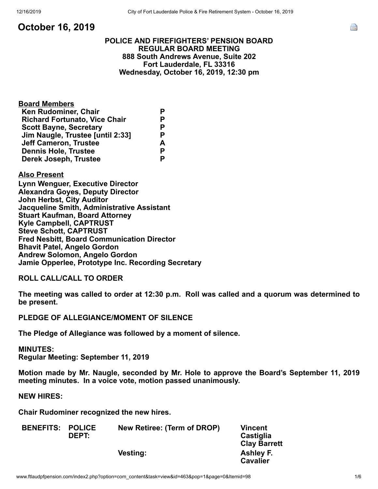**October 16, 2019**

# **POLICE AND FIREFIGHTERS' PENSION BOARD REGULAR BOARD MEETING 888 South Andrews Avenue, Suite 202 Fort Lauderdale, FL 33316 Wednesday, October 16, 2019, 12:30 pm**

| <b>Board Members</b>                 |   |
|--------------------------------------|---|
| <b>Ken Rudominer, Chair</b>          | Р |
| <b>Richard Fortunato, Vice Chair</b> | Р |
| <b>Scott Bayne, Secretary</b>        | P |
| Jim Naugle, Trustee [until 2:33]     | Р |
| <b>Jeff Cameron, Trustee</b>         | A |
| <b>Dennis Hole, Trustee</b>          | Р |
| Derek Joseph, Trustee                | Р |
|                                      |   |

# **Also Present**

**Lynn Wenguer, Executive Director Alexandra Goyes, Deputy Director John Herbst, City Auditor Jacqueline Smith, Administrative Assistant Stuart Kaufman, Board Attorney Kyle Campbell, CAPTRUST Steve Schott, CAPTRUST Fred Nesbitt, Board Communication Director Bhavit Patel, Angelo Gordon Andrew Solomon, Angelo Gordon Jamie Opperlee, Prototype Inc. Recording Secretary**

**ROLL CALL/CALL TO ORDER**

**The meeting was called to order at 12:30 p.m. Roll was called and a quorum was determined to be present.**

# **PLEDGE OF ALLEGIANCE/MOMENT OF SILENCE**

**The Pledge of Allegiance was followed by a moment of silence.**

#### **MINUTES:**

**Regular Meeting: September 11, 2019**

**Motion made by Mr. Naugle, seconded by Mr. Hole to approve the Board's September 11, 2019 meeting minutes. In a voice vote, motion passed unanimously.**

**NEW HIRES:**

**Chair Rudominer recognized the new hires.**

| <b>BENEFITS: POLICE</b> | <b>DEPT:</b> | <b>New Retiree: (Term of DROP)</b> | <b>Vincent</b><br>Castiglia |
|-------------------------|--------------|------------------------------------|-----------------------------|
|                         |              |                                    | <b>Clay Barrett</b>         |
|                         |              | <b>Vesting:</b>                    | Ashley F.                   |
|                         |              |                                    | <b>Cavalier</b>             |

e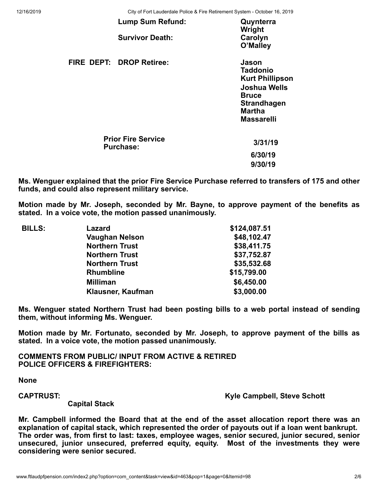12/16/2019 City of Fort Lauderdale Police & Fire Retirement System - October 16, 2019

| <b>Lump Sum Refund:</b>                       | Quynterra<br>Wright                                                                                                                            |
|-----------------------------------------------|------------------------------------------------------------------------------------------------------------------------------------------------|
| <b>Survivor Death:</b>                        | Carolyn<br>O'Malley                                                                                                                            |
| FIRE DEPT: DROP Retiree:                      | Jason<br><b>Taddonio</b><br><b>Kurt Phillipson</b><br>Joshua Wells<br><b>Bruce</b><br><b>Strandhagen</b><br><b>Martha</b><br><b>Massarelli</b> |
| <b>Prior Fire Service</b><br><b>Purchase:</b> | 3/31/19                                                                                                                                        |
|                                               | 6/30/19                                                                                                                                        |
|                                               | 9/30/19                                                                                                                                        |

**Ms. Wenguer explained that the prior Fire Service Purchase referred to transfers of 175 and other funds, and could also represent military service.**

**Motion made by Mr. Joseph, seconded by Mr. Bayne, to approve payment of the benefits as stated. In a voice vote, the motion passed unanimously.**

| <b>BILLS:</b> | Lazard                | \$124,087.51 |
|---------------|-----------------------|--------------|
|               | <b>Vaughan Nelson</b> | \$48,102.47  |
|               | <b>Northern Trust</b> | \$38,411.75  |
|               | <b>Northern Trust</b> | \$37,752.87  |
|               | <b>Northern Trust</b> | \$35,532.68  |
|               | <b>Rhumbline</b>      | \$15,799.00  |
|               | <b>Milliman</b>       | \$6,450.00   |
|               | Klausner, Kaufman     | \$3,000.00   |
|               |                       |              |

**Ms. Wenguer stated Northern Trust had been posting bills to a web portal instead of sending them, without informing Ms. Wenguer.**

**Motion made by Mr. Fortunato, seconded by Mr. Joseph, to approve payment of the bills as stated. In a voice vote, the motion passed unanimously.**

**COMMENTS FROM PUBLIC/ INPUT FROM ACTIVE & RETIRED POLICE OFFICERS & FIREFIGHTERS:**

**None**

**CAPTRUST: Kyle Campbell, Steve Schott**

 **Capital Stack**

**Mr. Campbell informed the Board that at the end of the asset allocation report there was an explanation of capital stack, which represented the order of payouts out if a loan went bankrupt. The order was, from first to last: taxes, employee wages, senior secured, junior secured, senior unsecured, junior unsecured, preferred equity, equity. Most of the investments they were considering were senior secured.**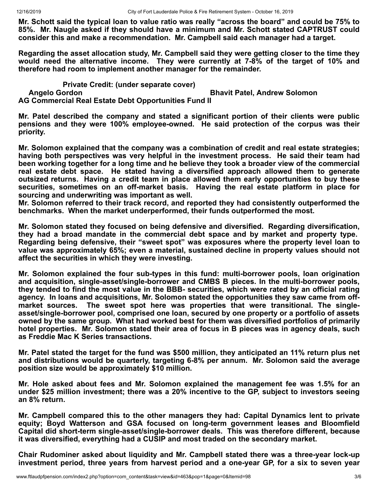**Mr. Schott said the typical loan to value ratio was really "across the board" and could be 75% to 85%. Mr. Naugle asked if they should have a minimum and Mr. Schott stated CAPTRUST could consider this and make a recommendation. Mr. Campbell said each manager had a target.**

**Regarding the asset allocation study, Mr. Campbell said they were getting closer to the time they would need the alternative income. They were currently at 7-8% of the target of 10% and therefore had room to implement another manager for the remainder.** 

**Private Credit: (under separate cover)** 

 **Angelo Gordon Bhavit Patel, Andrew Solomon**

**AG Commercial Real Estate Debt Opportunities Fund II**

**Mr. Patel described the company and stated a significant portion of their clients were public pensions and they were 100% employee-owned. He said protection of the corpus was their priority.**

**Mr. Solomon explained that the company was a combination of credit and real estate strategies; having both perspectives was very helpful in the investment process. He said their team had been working together for a long time and he believe they took a broader view of the commercial real estate debt space. He stated having a diversified approach allowed them to generate outsized returns. Having a credit team in place allowed them early opportunities to buy these securities, sometimes on an off-market basis. Having the real estate platform in place for sourcing and underwriting was important as well.**

**Mr. Solomon referred to their track record, and reported they had consistently outperformed the benchmarks. When the market underperformed, their funds outperformed the most.**

**Mr. Solomon stated they focused on being defensive and diversified. Regarding diversification, they had a broad mandate in the commercial debt space and by market and property type. Regarding being defensive, their "sweet spot" was exposures where the property level loan to value was approximately 65%; even a material, sustained decline in property values should not affect the securities in which they were investing.**

**Mr. Solomon explained the four sub-types in this fund: multi-borrower pools, loan origination and acquisition, single-asset/single-borrower and CMBS B pieces. In the multi-borrower pools, they tended to find the most value in the BBB- securities, which were rated by an official rating agency. In loans and acquisitions, Mr. Solomon stated the opportunities they saw came from offmarket sources. The sweet spot here was properties that were transitional. The singleasset/single-borrower pool, comprised one loan, secured by one property or a portfolio of assets owned by the same group. What had worked best for them was diversified portfolios of primarily hotel properties. Mr. Solomon stated their area of focus in B pieces was in agency deals, such as Freddie Mac K Series transactions.** 

**Mr. Patel stated the target for the fund was \$500 million, they anticipated an 11% return plus net and distributions would be quarterly, targeting 6-8% per annum. Mr. Solomon said the average position size would be approximately \$10 million.**

**Mr. Hole asked about fees and Mr. Solomon explained the management fee was 1.5% for an under \$25 million investment; there was a 20% incentive to the GP, subject to investors seeing an 8% return.**

**Mr. Campbell compared this to the other managers they had: Capital Dynamics lent to private equity; Boyd Watterson and GSA focused on long-term government leases and Bloomfield Capital did short-term single-asset/single-borrower deals. This was therefore different, because it was diversified, everything had a CUSIP and most traded on the secondary market.**

**Chair Rudominer asked about liquidity and Mr. Campbell stated there was a three-year lock-up investment period, three years from harvest period and a one-year GP, for a six to seven year**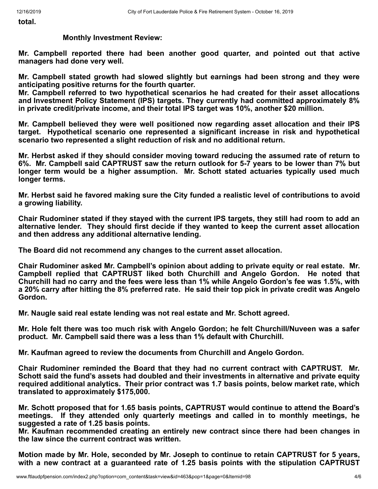**total.**

#### **Monthly Investment Review:**

**Mr. Campbell reported there had been another good quarter, and pointed out that active managers had done very well.**

**Mr. Campbell stated growth had slowed slightly but earnings had been strong and they were anticipating positive returns for the fourth quarter.**

**Mr. Campbell referred to two hypothetical scenarios he had created for their asset allocations and Investment Policy Statement (IPS) targets. They currently had committed approximately 8% in private credit/private income, and their total IPS target was 10%, another \$20 million.** 

**Mr. Campbell believed they were well positioned now regarding asset allocation and their IPS target. Hypothetical scenario one represented a significant increase in risk and hypothetical scenario two represented a slight reduction of risk and no additional return.**

**Mr. Herbst asked if they should consider moving toward reducing the assumed rate of return to 6%. Mr. Campbell said CAPTRUST saw the return outlook for 5-7 years to be lower than 7% but longer term would be a higher assumption. Mr. Schott stated actuaries typically used much longer terms.** 

**Mr. Herbst said he favored making sure the City funded a realistic level of contributions to avoid a growing liability.**

**Chair Rudominer stated if they stayed with the current IPS targets, they still had room to add an alternative lender. They should first decide if they wanted to keep the current asset allocation and then address any additional alternative lending.**

**The Board did not recommend any changes to the current asset allocation.**

**Chair Rudominer asked Mr. Campbell's opinion about adding to private equity or real estate. Mr. Campbell replied that CAPTRUST liked both Churchill and Angelo Gordon. He noted that Churchill had no carry and the fees were less than 1% while Angelo Gordon's fee was 1.5%, with a 20% carry after hitting the 8% preferred rate. He said their top pick in private credit was Angelo Gordon.**

**Mr. Naugle said real estate lending was not real estate and Mr. Schott agreed.**

**Mr. Hole felt there was too much risk with Angelo Gordon; he felt Churchill/Nuveen was a safer product. Mr. Campbell said there was a less than 1% default with Churchill.** 

**Mr. Kaufman agreed to review the documents from Churchill and Angelo Gordon.**

**Chair Rudominer reminded the Board that they had no current contract with CAPTRUST. Mr. Schott said the fund's assets had doubled and their investments in alternative and private equity required additional analytics. Their prior contract was 1.7 basis points, below market rate, which translated to approximately \$175,000.**

**Mr. Schott proposed that for 1.65 basis points, CAPTRUST would continue to attend the Board's meetings. If they attended only quarterly meetings and called in to monthly meetings, he suggested a rate of 1.25 basis points.**

**Mr. Kaufman recommended creating an entirely new contract since there had been changes in the law since the current contract was written.**

**Motion made by Mr. Hole, seconded by Mr. Joseph to continue to retain CAPTRUST for 5 years, with a new contract at a guaranteed rate of 1.25 basis points with the stipulation CAPTRUST**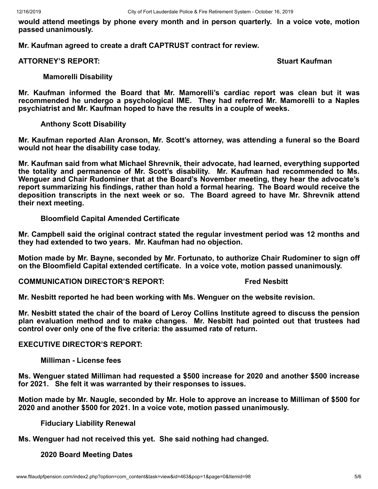**would attend meetings by phone every month and in person quarterly. In a voice vote, motion passed unanimously.**

**Mr. Kaufman agreed to create a draft CAPTRUST contract for review.**

#### **ATTORNEY'S REPORT: Stuart Kaufman**

#### **Mamorelli Disability**

**Mr. Kaufman informed the Board that Mr. Mamorelli's cardiac report was clean but it was recommended he undergo a psychological IME. They had referred Mr. Mamorelli to a Naples psychiatrist and Mr. Kaufman hoped to have the results in a couple of weeks.**

# **Anthony Scott Disability**

**Mr. Kaufman reported Alan Aronson, Mr. Scott's attorney, was attending a funeral so the Board would not hear the disability case today.**

**Mr. Kaufman said from what Michael Shrevnik, their advocate, had learned, everything supported the totality and permanence of Mr. Scott's disability. Mr. Kaufman had recommended to Ms. Wenguer and Chair Rudominer that at the Board's November meeting, they hear the advocate's report summarizing his findings, rather than hold a formal hearing. The Board would receive the deposition transcripts in the next week or so. The Board agreed to have Mr. Shrevnik attend their next meeting.**

# **Bloomfield Capital Amended Certificate**

**Mr. Campbell said the original contract stated the regular investment period was 12 months and they had extended to two years. Mr. Kaufman had no objection.**

**Motion made by Mr. Bayne, seconded by Mr. Fortunato, to authorize Chair Rudominer to sign off on the Bloomfield Capital extended certificate. In a voice vote, motion passed unanimously.**

**COMMUNICATION DIRECTOR'S REPORT: Fred Nesbitt** 

**Mr. Nesbitt reported he had been working with Ms. Wenguer on the website revision.**

**Mr. Nesbitt stated the chair of the board of Leroy Collins Institute agreed to discuss the pension plan evaluation method and to make changes. Mr. Nesbitt had pointed out that trustees had control over only one of the five criteria: the assumed rate of return.**

# **EXECUTIVE DIRECTOR'S REPORT:**

**Milliman - License fees**

**Ms. Wenguer stated Milliman had requested a \$500 increase for 2020 and another \$500 increase for 2021. She felt it was warranted by their responses to issues.**

**Motion made by Mr. Naugle, seconded by Mr. Hole to approve an increase to Milliman of \$500 for 2020 and another \$500 for 2021. In a voice vote, motion passed unanimously.**

# **Fiduciary Liability Renewal**

**Ms. Wenguer had not received this yet. She said nothing had changed.**

# **2020 Board Meeting Dates**